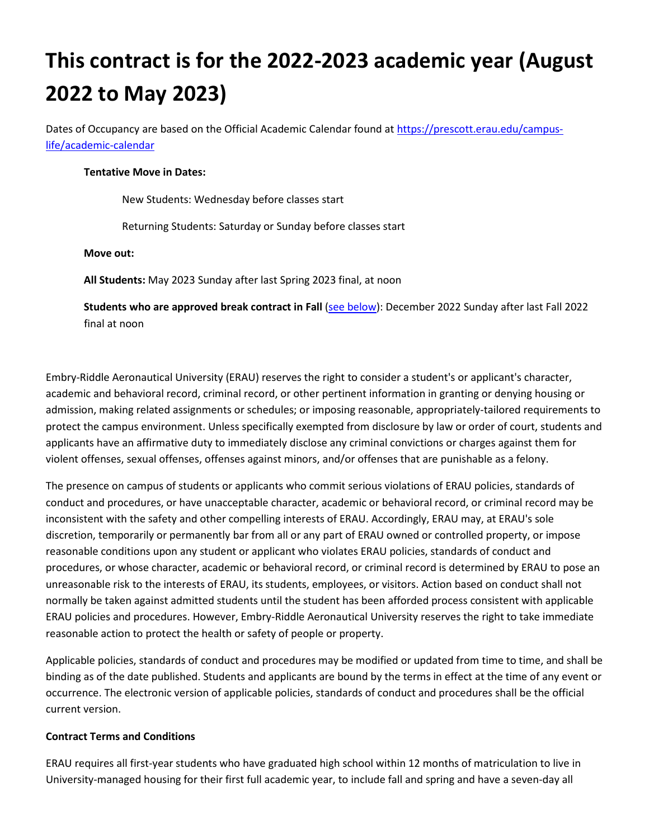# **This contract is for the 2022-2023 academic year (August 2022 to May 2023)**

Dates of Occupancy are based on the Official Academic Calendar found a[t https://prescott.erau.edu/campus](https://prescott.erau.edu/campus-life/academic-calendar)[life/academic-calendar](https://prescott.erau.edu/campus-life/academic-calendar)

#### **Tentative Move in Dates:**

New Students: Wednesday before classes start

Returning Students: Saturday or Sunday before classes start

#### **Move out:**

**All Students:** May 2023 Sunday after last Spring 2023 final, at noon

**Students who are approved break contract in Fall** [\(see below\)](#page-2-0): December 2022 Sunday after last Fall 2022 final at noon

Embry-Riddle Aeronautical University (ERAU) reserves the right to consider a student's or applicant's character, academic and behavioral record, criminal record, or other pertinent information in granting or denying housing or admission, making related assignments or schedules; or imposing reasonable, appropriately-tailored requirements to protect the campus environment. Unless specifically exempted from disclosure by law or order of court, students and applicants have an affirmative duty to immediately disclose any criminal convictions or charges against them for violent offenses, sexual offenses, offenses against minors, and/or offenses that are punishable as a felony.

The presence on campus of students or applicants who commit serious violations of ERAU policies, standards of conduct and procedures, or have unacceptable character, academic or behavioral record, or criminal record may be inconsistent with the safety and other compelling interests of ERAU. Accordingly, ERAU may, at ERAU's sole discretion, temporarily or permanently bar from all or any part of ERAU owned or controlled property, or impose reasonable conditions upon any student or applicant who violates ERAU policies, standards of conduct and procedures, or whose character, academic or behavioral record, or criminal record is determined by ERAU to pose an unreasonable risk to the interests of ERAU, its students, employees, or visitors. Action based on conduct shall not normally be taken against admitted students until the student has been afforded process consistent with applicable ERAU policies and procedures. However, Embry-Riddle Aeronautical University reserves the right to take immediate reasonable action to protect the health or safety of people or property.

Applicable policies, standards of conduct and procedures may be modified or updated from time to time, and shall be binding as of the date published. Students and applicants are bound by the terms in effect at the time of any event or occurrence. The electronic version of applicable policies, standards of conduct and procedures shall be the official current version.

#### **Contract Terms and Conditions**

ERAU requires all first-year students who have graduated high school within 12 months of matriculation to live in University-managed housing for their first full academic year, to include fall and spring and have a seven-day all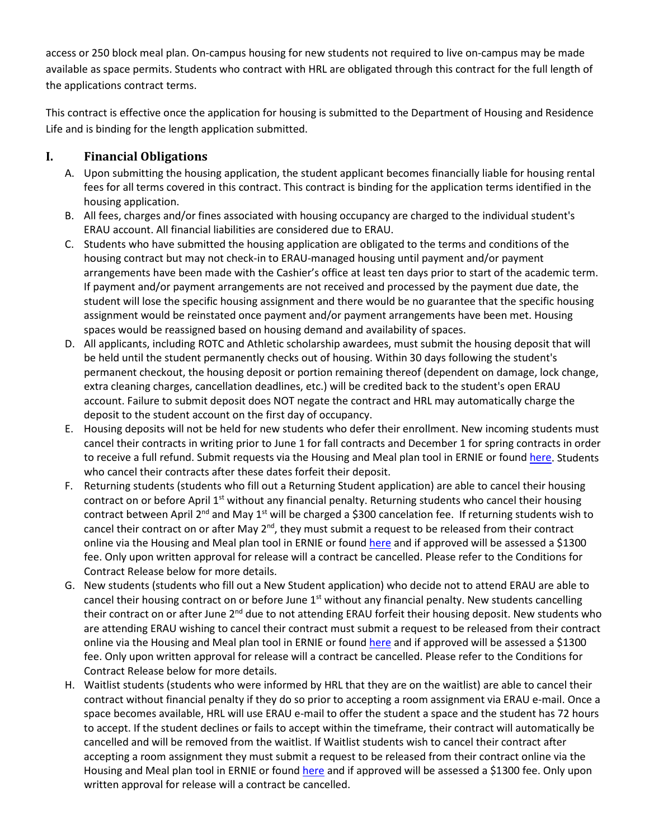access or 250 block meal plan. On-campus housing for new students not required to live on-campus may be made available as space permits. Students who contract with HRL are obligated through this contract for the full length of the applications contract terms.

This contract is effective once the application for housing is submitted to the Department of Housing and Residence Life and is binding for the length application submitted.

### **I. Financial Obligations**

- A. Upon submitting the housing application, the student applicant becomes financially liable for housing rental fees for all terms covered in this contract. This contract is binding for the application terms identified in the housing application.
- B. All fees, charges and/or fines associated with housing occupancy are charged to the individual student's ERAU account. All financial liabilities are considered due to ERAU.
- C. Students who have submitted the housing application are obligated to the terms and conditions of the housing contract but may not check-in to ERAU-managed housing until payment and/or payment arrangements have been made with the Cashier's office at least ten days prior to start of the academic term. If payment and/or payment arrangements are not received and processed by the payment due date, the student will lose the specific housing assignment and there would be no guarantee that the specific housing assignment would be reinstated once payment and/or payment arrangements have been met. Housing spaces would be reassigned based on housing demand and availability of spaces.
- D. All applicants, including ROTC and Athletic scholarship awardees, must submit the housing deposit that will be held until the student permanently checks out of housing. Within 30 days following the student's permanent checkout, the housing deposit or portion remaining thereof (dependent on damage, lock change, extra cleaning charges, cancellation deadlines, etc.) will be credited back to the student's open ERAU account. Failure to submit deposit does NOT negate the contract and HRL may automatically charge the deposit to the student account on the first day of occupancy.
- E. Housing deposits will not be held for new students who defer their enrollment. New incoming students must cancel their contracts in writing prior to June 1 for fall contracts and December 1 for spring contracts in order to receive a full refund. Submit requests via the Housing and Meal plan tool in ERNIE or found [here.](https://erauprescott.datacenter.adirondacksolutions.com/ERAUPRESCOTT_THDSS_PROD/splash) Students who cancel their contracts after these dates forfeit their deposit.
- F. Returning students (students who fill out a Returning Student application) are able to cancel their housing contract on or before April  $1<sup>st</sup>$  without any financial penalty. Returning students who cancel their housing contract between April 2<sup>nd</sup> and May 1<sup>st</sup> will be charged a \$300 cancelation fee. If returning students wish to cancel their contract on or after May  $2<sup>nd</sup>$ , they must submit a request to be released from their contract online via the Housing and Meal plan tool in ERNIE or foun[d here](https://erauprescott.datacenter.adirondacksolutions.com/ERAUPRESCOTT_THDSS_PROD/splash) and if approved will be assessed a \$1300 fee. Only upon written approval for release will a contract be cancelled. Please refer to the Conditions for Contract Release below for more details.
- G. New students (students who fill out a New Student application) who decide not to attend ERAU are able to cancel their housing contract on or before June 1<sup>st</sup> without any financial penalty. New students cancelling their contract on or after June 2<sup>nd</sup> due to not attending ERAU forfeit their housing deposit. New students who are attending ERAU wishing to cancel their contract must submit a request to be released from their contract online via the Housing and Meal plan tool in ERNIE or foun[d here](https://erauprescott.datacenter.adirondacksolutions.com/ERAUPRESCOTT_THDSS_PROD/splash) and if approved will be assessed a \$1300 fee. Only upon written approval for release will a contract be cancelled. Please refer to the Conditions for Contract Release below for more details.
- H. Waitlist students (students who were informed by HRL that they are on the waitlist) are able to cancel their contract without financial penalty if they do so prior to accepting a room assignment via ERAU e-mail. Once a space becomes available, HRL will use ERAU e-mail to offer the student a space and the student has 72 hours to accept. If the student declines or fails to accept within the timeframe, their contract will automatically be cancelled and will be removed from the waitlist. If Waitlist students wish to cancel their contract after accepting a room assignment they must submit a request to be released from their contract online via the Housing and Meal plan tool in ERNIE or foun[d here](https://erauprescott.datacenter.adirondacksolutions.com/ERAUPRESCOTT_THDSS_PROD/splash) and if approved will be assessed a \$1300 fee. Only upon written approval for release will a contract be cancelled.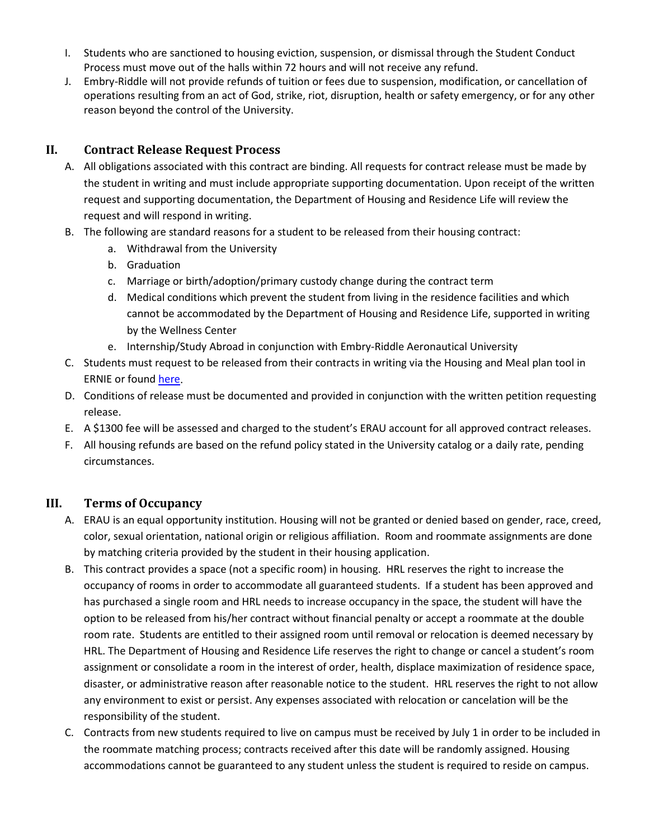- I. Students who are sanctioned to housing eviction, suspension, or dismissal through the Student Conduct Process must move out of the halls within 72 hours and will not receive any refund.
- J. Embry-Riddle will not provide refunds of tuition or fees due to suspension, modification, or cancellation of operations resulting from an act of God, strike, riot, disruption, health or safety emergency, or for any other reason beyond the control of the University.

### <span id="page-2-0"></span>**II. Contract Release Request Process**

- A. All obligations associated with this contract are binding. All requests for contract release must be made by the student in writing and must include appropriate supporting documentation. Upon receipt of the written request and supporting documentation, the Department of Housing and Residence Life will review the request and will respond in writing.
- B. The following are standard reasons for a student to be released from their housing contract:
	- a. Withdrawal from the University
	- b. Graduation
	- c. Marriage or birth/adoption/primary custody change during the contract term
	- d. Medical conditions which prevent the student from living in the residence facilities and which cannot be accommodated by the Department of Housing and Residence Life, supported in writing by the Wellness Center
	- e. Internship/Study Abroad in conjunction with Embry-Riddle Aeronautical University
- C. Students must request to be released from their contracts in writing via the Housing and Meal plan tool in ERNIE or foun[d here.](https://erauprescott.datacenter.adirondacksolutions.com/ERAUPRESCOTT_THDSS_PROD/splash)
- D. Conditions of release must be documented and provided in conjunction with the written petition requesting release.
- E. A \$1300 fee will be assessed and charged to the student's ERAU account for all approved contract releases.
- F. All housing refunds are based on the refund policy stated in the University catalog or a daily rate, pending circumstances.

#### **III. Terms of Occupancy**

- A. ERAU is an equal opportunity institution. Housing will not be granted or denied based on gender, race, creed, color, sexual orientation, national origin or religious affiliation. Room and roommate assignments are done by matching criteria provided by the student in their housing application.
- B. This contract provides a space (not a specific room) in housing. HRL reserves the right to increase the occupancy of rooms in order to accommodate all guaranteed students. If a student has been approved and has purchased a single room and HRL needs to increase occupancy in the space, the student will have the option to be released from his/her contract without financial penalty or accept a roommate at the double room rate. Students are entitled to their assigned room until removal or relocation is deemed necessary by HRL. The Department of Housing and Residence Life reserves the right to change or cancel a student's room assignment or consolidate a room in the interest of order, health, displace maximization of residence space, disaster, or administrative reason after reasonable notice to the student. HRL reserves the right to not allow any environment to exist or persist. Any expenses associated with relocation or cancelation will be the responsibility of the student.
- C. Contracts from new students required to live on campus must be received by July 1 in order to be included in the roommate matching process; contracts received after this date will be randomly assigned. Housing accommodations cannot be guaranteed to any student unless the student is required to reside on campus.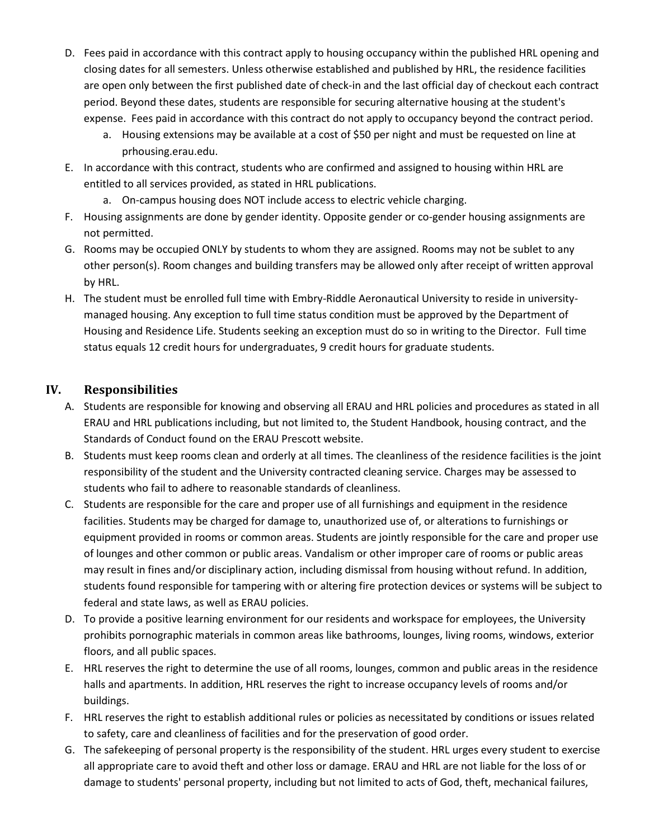- D. Fees paid in accordance with this contract apply to housing occupancy within the published HRL opening and closing dates for all semesters. Unless otherwise established and published by HRL, the residence facilities are open only between the first published date of check-in and the last official day of checkout each contract period. Beyond these dates, students are responsible for securing alternative housing at the student's expense. Fees paid in accordance with this contract do not apply to occupancy beyond the contract period.
	- a. Housing extensions may be available at a cost of \$50 per night and must be requested on line at prhousing.erau.edu.
- E. In accordance with this contract, students who are confirmed and assigned to housing within HRL are entitled to all services provided, as stated in HRL publications.
	- a. On-campus housing does NOT include access to electric vehicle charging.
- F. Housing assignments are done by gender identity. Opposite gender or co-gender housing assignments are not permitted.
- G. Rooms may be occupied ONLY by students to whom they are assigned. Rooms may not be sublet to any other person(s). Room changes and building transfers may be allowed only after receipt of written approval by HRL.
- H. The student must be enrolled full time with Embry-Riddle Aeronautical University to reside in universitymanaged housing. Any exception to full time status condition must be approved by the Department of Housing and Residence Life. Students seeking an exception must do so in writing to the Director. Full time status equals 12 credit hours for undergraduates, 9 credit hours for graduate students.

## **IV. Responsibilities**

- A. Students are responsible for knowing and observing all ERAU and HRL policies and procedures as stated in all ERAU and HRL publications including, but not limited to, the Student Handbook, housing contract, and the Standards of Conduct found on the ERAU Prescott website.
- B. Students must keep rooms clean and orderly at all times. The cleanliness of the residence facilities is the joint responsibility of the student and the University contracted cleaning service. Charges may be assessed to students who fail to adhere to reasonable standards of cleanliness.
- C. Students are responsible for the care and proper use of all furnishings and equipment in the residence facilities. Students may be charged for damage to, unauthorized use of, or alterations to furnishings or equipment provided in rooms or common areas. Students are jointly responsible for the care and proper use of lounges and other common or public areas. Vandalism or other improper care of rooms or public areas may result in fines and/or disciplinary action, including dismissal from housing without refund. In addition, students found responsible for tampering with or altering fire protection devices or systems will be subject to federal and state laws, as well as ERAU policies.
- D. To provide a positive learning environment for our residents and workspace for employees, the University prohibits pornographic materials in common areas like bathrooms, lounges, living rooms, windows, exterior floors, and all public spaces.
- E. HRL reserves the right to determine the use of all rooms, lounges, common and public areas in the residence halls and apartments. In addition, HRL reserves the right to increase occupancy levels of rooms and/or buildings.
- F. HRL reserves the right to establish additional rules or policies as necessitated by conditions or issues related to safety, care and cleanliness of facilities and for the preservation of good order.
- G. The safekeeping of personal property is the responsibility of the student. HRL urges every student to exercise all appropriate care to avoid theft and other loss or damage. ERAU and HRL are not liable for the loss of or damage to students' personal property, including but not limited to acts of God, theft, mechanical failures,